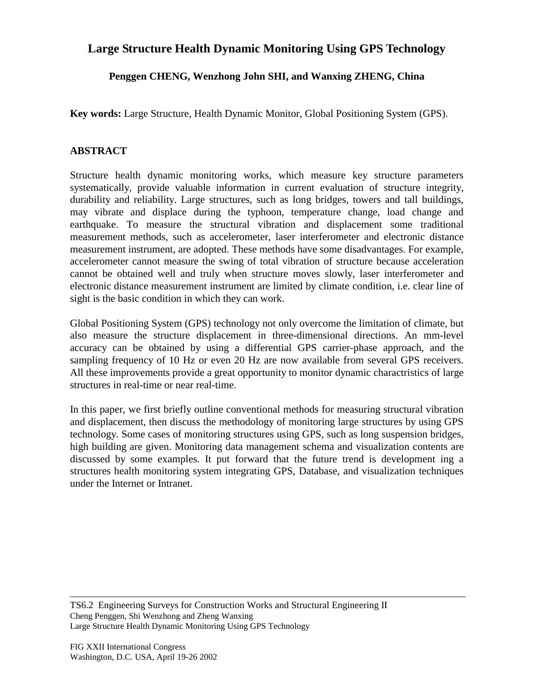## **Large Structure Health Dynamic Monitoring Using GPS Technology**

## **Penggen CHENG, Wenzhong John SHI, and Wanxing ZHENG, China**

**Key words:** Large Structure, Health Dynamic Monitor, Global Positioning System (GPS).

## **ABSTRACT**

Structure health dynamic monitoring works, which measure key structure parameters systematically, provide valuable information in current evaluation of structure integrity, durability and reliability. Large structures, such as long bridges, towers and tall buildings, may vibrate and displace during the typhoon, temperature change, load change and earthquake. To measure the structural vibration and displacement some traditional measurement methods, such as accelerometer, laser interferometer and electronic distance measurement instrument, are adopted. These methods have some disadvantages. For example, accelerometer cannot measure the swing of total vibration of structure because acceleration cannot be obtained well and truly when structure moves slowly, laser interferometer and electronic distance measurement instrument are limited by climate condition, i.e. clear line of sight is the basic condition in which they can work.

Global Positioning System (GPS) technology not only overcome the limitation of climate, but also measure the structure displacement in three-dimensional directions. An mm-level accuracy can be obtained by using a differential GPS carrier-phase approach, and the sampling frequency of 10 Hz or even 20 Hz are now available from several GPS receivers. All these improvements provide a great opportunity to monitor dynamic charactristics of large structures in real-time or near real-time.

In this paper, we first briefly outline conventional methods for measuring structural vibration and displacement, then discuss the methodology of monitoring large structures by using GPS technology. Some cases of monitoring structures using GPS, such as long suspension bridges, high building are given. Monitoring data management schema and visualization contents are discussed by some examples. It put forward that the future trend is development ing a structures health monitoring system integrating GPS, Database, and visualization techniques under the Internet or Intranet.

TS6.2 Engineering Surveys for Construction Works and Structural Engineering II Cheng Penggen, Shi Wenzhong and Zheng Wanxing Large Structure Health Dynamic Monitoring Using GPS Technology